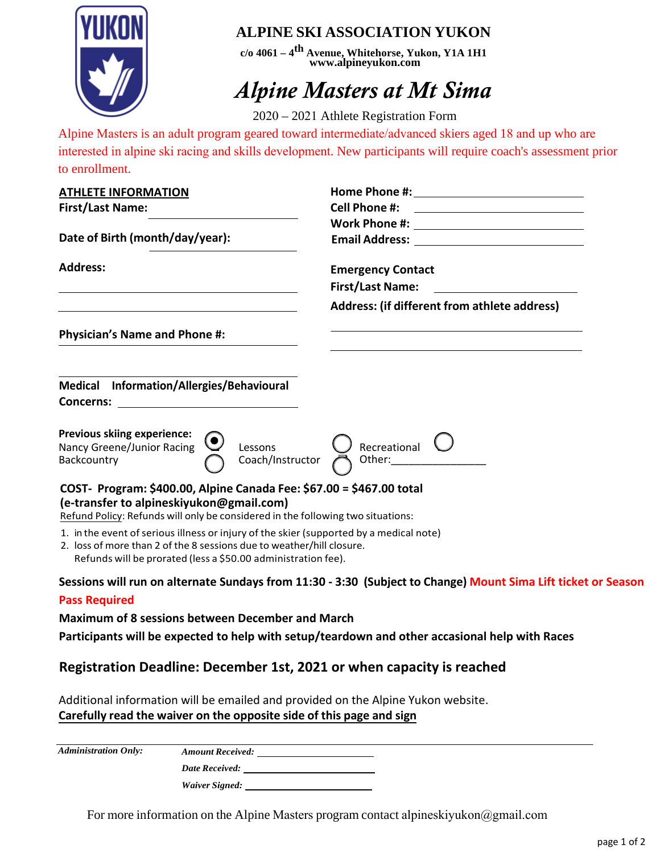

# **ALPINE SKI ASSOCIATION YUKON**

**c/o 4061 – 4th Avenue, Whitehorse, Yukon, Y1A 1H1 [www.alpineyukon.com](http://www.alpineyukon.com/)**

# *Alpine Masters at Mt Sima*

2020 – 2021 Athlete Registration Form

Alpine Masters is an adult program geared toward intermediate/advanced skiers aged 18 and up who are interested in alpine ski racing and skills development. New participants will require coach's assessment prior to enrollment.

| <b>ATHLETE INFORMATION</b>                                                                                                                                                                                                        |                                                                                                               |
|-----------------------------------------------------------------------------------------------------------------------------------------------------------------------------------------------------------------------------------|---------------------------------------------------------------------------------------------------------------|
| <b>First/Last Name:</b>                                                                                                                                                                                                           | <b>Cell Phone #:</b><br><u> 1989 - Johann Barbara, martin amerikan basar da</u>                               |
|                                                                                                                                                                                                                                   | Work Phone #: ________________________________                                                                |
| Date of Birth (month/day/year):                                                                                                                                                                                                   | <b>Email Address: Email Address:</b>                                                                          |
| <b>Address:</b>                                                                                                                                                                                                                   | <b>Emergency Contact</b>                                                                                      |
|                                                                                                                                                                                                                                   | <b>First/Last Name:</b>                                                                                       |
|                                                                                                                                                                                                                                   |                                                                                                               |
|                                                                                                                                                                                                                                   | Address: (if different from athlete address)                                                                  |
| <b>Physician's Name and Phone #:</b>                                                                                                                                                                                              |                                                                                                               |
|                                                                                                                                                                                                                                   |                                                                                                               |
| Medical Information/Allergies/Behavioural                                                                                                                                                                                         |                                                                                                               |
| Concerns:                                                                                                                                                                                                                         |                                                                                                               |
| <b>Previous skiing experience:</b><br>Nancy Greene/Junior Racing<br>Lessons<br>Coach/Instructor<br>Backcountry                                                                                                                    | Recreational<br>Other:                                                                                        |
| COST- Program: \$400.00, Alpine Canada Fee: \$67.00 = \$467.00 total<br>(e-transfer to alpineskiyukon@gmail.com)<br>Refund Policy: Refunds will only be considered in the following two situations:                               |                                                                                                               |
| 1. in the event of serious illness or injury of the skier (supported by a medical note)<br>2. loss of more than 2 of the 8 sessions due to weather/hill closure.<br>Refunds will be prorated (less a \$50.00 administration fee). |                                                                                                               |
|                                                                                                                                                                                                                                   | Sessions will run on alternate Sundays from 11:30 - 3:30 (Subject to Change) Mount Sima Lift ticket or Season |
| <b>Pass Required</b>                                                                                                                                                                                                              |                                                                                                               |
| <b>Maximum of 8 sessions between December and March</b>                                                                                                                                                                           |                                                                                                               |
| Participants will be expected to help with setup/teardown and other accasional help with Races                                                                                                                                    |                                                                                                               |
|                                                                                                                                                                                                                                   |                                                                                                               |

# **Registration Deadline: December 1st, 2021 or when capacity is reached**

Additional information will be emailed and provided on the Alpine Yukon website. **Carefully read the waiver on the opposite side of this page and sign**

*Administration Only: Amount Received:*

*Date Received:*

*Waiver Signed:*

For more information on the Alpine Masters program contact alpineskiyukon@gmail.com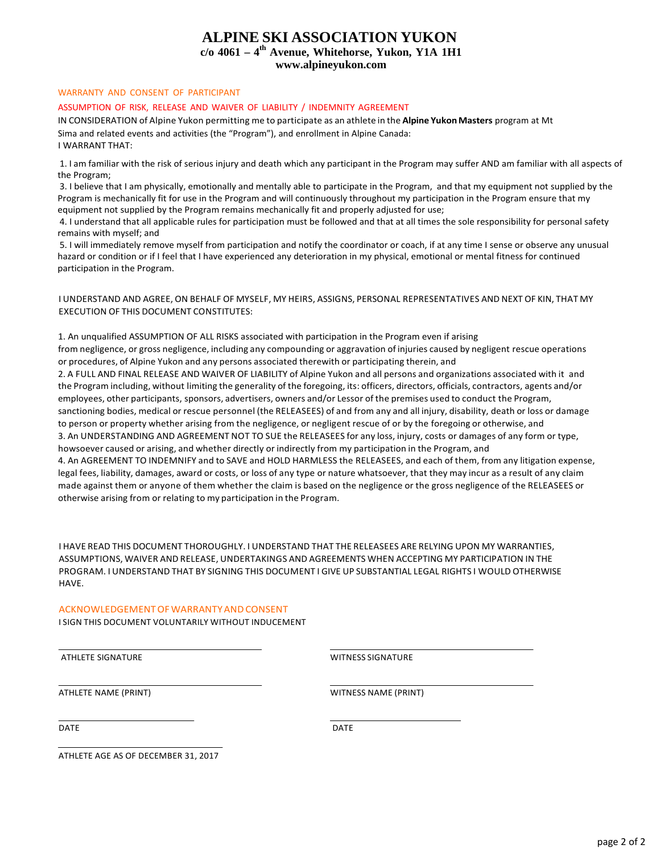## **ALPINE SKI ASSOCIATION YUKON**

## **c/o 4061 – 4th Avenue, Whitehorse, Yukon, Y1A 1H1**

**[www.alpineyukon.com](http://www.alpineyukon.com/)**

### WARRANTY AND CONSENT OF PARTICIPANT

#### ASSUMPTION OF RISK, RELEASE AND WAIVER OF LIABILITY / INDEMNITY AGREEMENT

IN CONSIDERATION of Alpine Yukon permitting me to participate as an athlete in the **Alpine YukonMasters** program at Mt Sima and related events and activities (the "Program"), and enrollment in Alpine Canada: I WARRANT THAT:

1. I am familiar with the risk of serious injury and death which any participant in the Program may suffer AND am familiar with all aspects of the Program;

3. I believe that I am physically, emotionally and mentally able to participate in the Program, and that my equipment not supplied by the Program is mechanically fit for use in the Program and will continuously throughout my participation in the Program ensure that my equipment not supplied by the Program remains mechanically fit and properly adjusted for use;

4. I understand that all applicable rules for participation must be followed and that at all times the sole responsibility for personal safety remains with myself; and

5. I will immediately remove myself from participation and notify the coordinator or coach, if at any time I sense or observe any unusual hazard or condition or if I feel that I have experienced any deterioration in my physical, emotional or mental fitness for continued participation in the Program.

### I UNDERSTAND AND AGREE, ON BEHALF OF MYSELF, MY HEIRS, ASSIGNS, PERSONAL REPRESENTATIVES AND NEXT OF KIN, THAT MY EXECUTION OF THIS DOCUMENT CONSTITUTES:

1. An unqualified ASSUMPTION OF ALL RISKS associated with participation in the Program even if arising from negligence, or gross negligence, including any compounding or aggravation of injuries caused by negligent rescue operations or procedures, of Alpine Yukon and any persons associated therewith or participating therein, and

2. A FULL AND FINAL RELEASE AND WAIVER OF LIABILITY of Alpine Yukon and all persons and organizations associated with it and the Program including, without limiting the generality of the foregoing, its: officers, directors, officials, contractors, agents and/or employees, other participants, sponsors, advertisers, owners and/or Lessor of the premises used to conduct the Program, sanctioning bodies, medical or rescue personnel (the RELEASEES) of and from any and all injury, disability, death or loss or damage to person or property whether arising from the negligence, or negligent rescue of or by the foregoing or otherwise, and 3. An UNDERSTANDING AND AGREEMENT NOT TO SUE the RELEASEES for any loss, injury, costs or damages of any form or type, howsoever caused or arising, and whether directly or indirectly from my participation in the Program, and 4. An AGREEMENT TO INDEMNIFY and to SAVE and HOLD HARMLESS the RELEASEES, and each of them, from any litigation expense,

legal fees, liability, damages, award or costs, or loss of any type or nature whatsoever, that they may incur as a result of any claim made against them or anyone of them whether the claim is based on the negligence or the gross negligence of the RELEASEES or otherwise arising from or relating to my participation in the Program.

I HAVE READ THIS DOCUMENT THOROUGHLY. I UNDERSTAND THAT THE RELEASEES ARE RELYING UPON MY WARRANTIES, ASSUMPTIONS, WAIVER AND RELEASE, UNDERTAKINGS AND AGREEMENTS WHEN ACCEPTING MY PARTICIPATION IN THE PROGRAM. I UNDERSTAND THAT BY SIGNING THIS DOCUMENT I GIVE UP SUBSTANTIAL LEGAL RIGHTS I WOULD OTHERWISE HAVE.

### ACKNOWLEDGEMENT OF WARRANTY AND CONSENT

I SIGN THIS DOCUMENT VOLUNTARILY WITHOUT INDUCEMENT

ATHLETE SIGNATURE WITNESS SIGNATURE

ATHLETE NAME (PRINT) THE STATE OF STATE STATE OF A WITNESS NAME (PRINT)

DATE DATE DESCRIPTION OF PROPERTY AND DESCRIPTION OF PROPERTY AND ACCOUNT OF PROPERTY AND DESCRIPTION OF PROPERTY AND A LOCAL DATE

ATHLETE AGE AS OF DECEMBER 31, 2017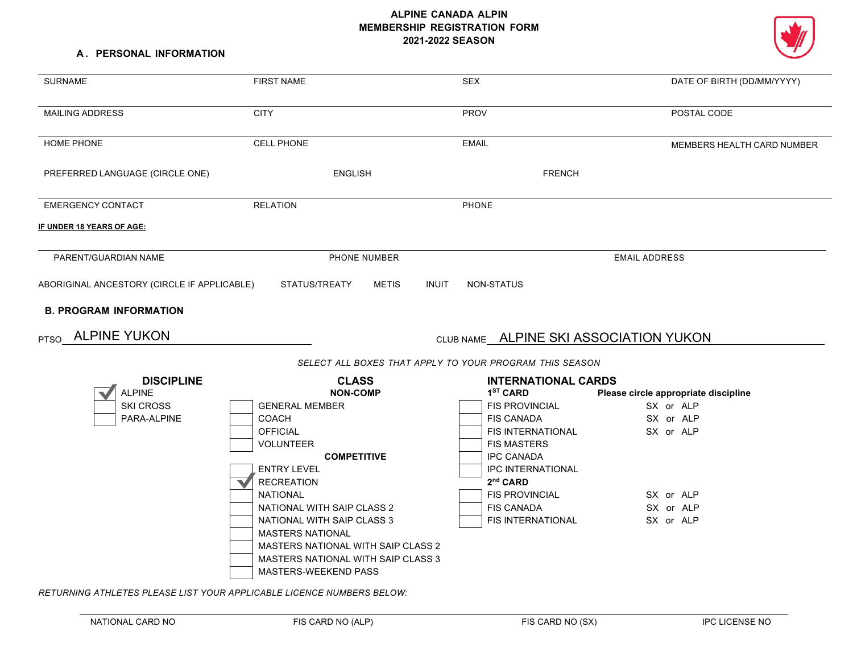## **ALPINE CANADA ALPIN MEMBERSHIP REGISTRATION FORM 2021-2022 SEASON**

#### **A . PERSONAL INFORMATION**

| <b>SURNAME</b>                                     | <b>FIRST NAME</b>                                                                                                                                                                                                                                                                                                                                             | <b>SEX</b>                                                                                                                                                                                                                                      | DATE OF BIRTH (DD/MM/YYYY)                                                                                         |
|----------------------------------------------------|---------------------------------------------------------------------------------------------------------------------------------------------------------------------------------------------------------------------------------------------------------------------------------------------------------------------------------------------------------------|-------------------------------------------------------------------------------------------------------------------------------------------------------------------------------------------------------------------------------------------------|--------------------------------------------------------------------------------------------------------------------|
| <b>MAILING ADDRESS</b>                             | <b>CITY</b>                                                                                                                                                                                                                                                                                                                                                   | <b>PROV</b>                                                                                                                                                                                                                                     | POSTAL CODE                                                                                                        |
| <b>HOME PHONE</b>                                  | <b>CELL PHONE</b>                                                                                                                                                                                                                                                                                                                                             | <b>EMAIL</b>                                                                                                                                                                                                                                    | MEMBERS HEALTH CARD NUMBER                                                                                         |
| PREFERRED LANGUAGE (CIRCLE ONE)                    | <b>ENGLISH</b>                                                                                                                                                                                                                                                                                                                                                | <b>FRENCH</b>                                                                                                                                                                                                                                   |                                                                                                                    |
| <b>EMERGENCY CONTACT</b>                           | <b>RELATION</b>                                                                                                                                                                                                                                                                                                                                               | <b>PHONE</b>                                                                                                                                                                                                                                    |                                                                                                                    |
| <u>IF UNDER 18 YEARS OF AGE:</u>                   |                                                                                                                                                                                                                                                                                                                                                               |                                                                                                                                                                                                                                                 |                                                                                                                    |
| PARENT/GUARDIAN NAME                               | PHONE NUMBER                                                                                                                                                                                                                                                                                                                                                  | <b>EMAIL ADDRESS</b>                                                                                                                                                                                                                            |                                                                                                                    |
| <b>B. PROGRAM INFORMATION</b><br>PTSO ALPINE YUKON |                                                                                                                                                                                                                                                                                                                                                               | CLUB NAME ALPINE SKI ASSOCIATION YUKON<br>SELECT ALL BOXES THAT APPLY TO YOUR PROGRAM THIS SEASON                                                                                                                                               |                                                                                                                    |
| <b>DISCIPLINE</b>                                  | <b>CLASS</b>                                                                                                                                                                                                                                                                                                                                                  | <b>INTERNATIONAL CARDS</b>                                                                                                                                                                                                                      |                                                                                                                    |
| <b>ALPINE</b><br><b>SKI CROSS</b><br>PARA-ALPINE   | <b>NON-COMP</b><br><b>GENERAL MEMBER</b><br>COACH<br><b>OFFICIAL</b><br><b>VOLUNTEER</b><br><b>COMPETITIVE</b><br><b>ENTRY LEVEL</b><br><b>RECREATION</b><br><b>NATIONAL</b><br>NATIONAL WITH SAIP CLASS 2<br>NATIONAL WITH SAIP CLASS 3<br><b>MASTERS NATIONAL</b><br><b>MASTERS NATIONAL WITH SAIP CLASS 2</b><br><b>MASTERS NATIONAL WITH SAIP CLASS 3</b> | $1ST$ CARD<br><b>FIS PROVINCIAL</b><br><b>FIS CANADA</b><br>FIS INTERNATIONAL<br><b>FIS MASTERS</b><br><b>IPC CANADA</b><br><b>IPC INTERNATIONAL</b><br>2 <sup>nd</sup> CARD<br><b>FIS PROVINCIAL</b><br><b>FIS CANADA</b><br>FIS INTERNATIONAL | Please circle appropriate discipline<br>SX or ALP<br>SX or ALP<br>SX or ALP<br>SX or ALP<br>SX or ALP<br>SX or ALP |

*RETURNING ATHLETES PLEASE LIST YOUR APPLICABLE LICENCE NUMBERS BELOW:*